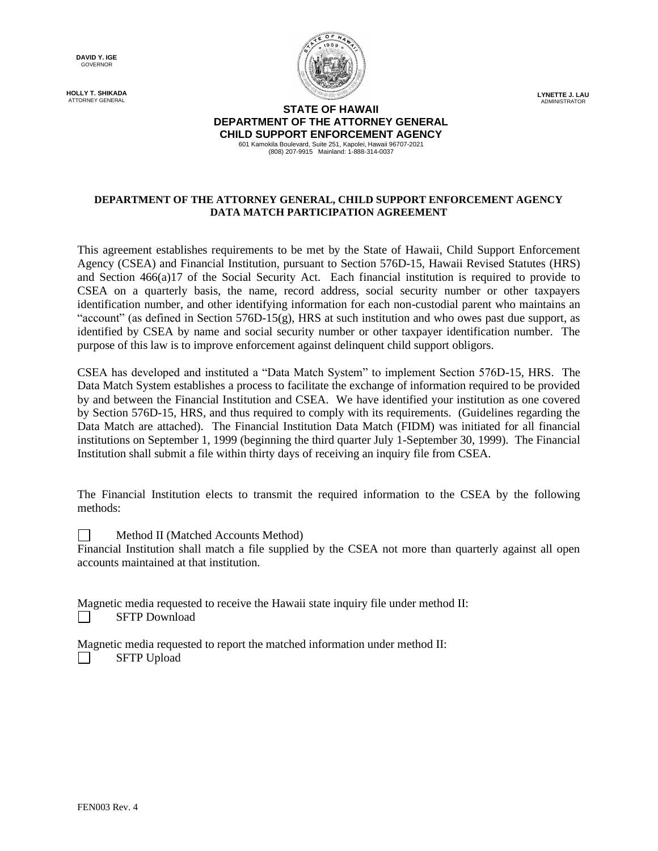**DAVID Y. IGE** GOVERNOR

**HOLLY T. SHIKADA** ATTORNEY GENERAL



**LYNETTE J. LAU** ADMINISTRATOR

## **STATE OF HAWAII DEPARTMENT OF THE ATTORNEY GENERAL CHILD SUPPORT ENFORCEMENT AGENCY** 601 Kamokila Boulevard, Suite 251, Kapolei, Hawaii 96707-2021

(808) 207-9915 Mainland: 1-888-314-0037

## **DEPARTMENT OF THE ATTORNEY GENERAL, CHILD SUPPORT ENFORCEMENT AGENCY DATA MATCH PARTICIPATION AGREEMENT**

This agreement establishes requirements to be met by the State of Hawaii, Child Support Enforcement Agency (CSEA) and Financial Institution, pursuant to Section 576D-15, Hawaii Revised Statutes (HRS) and Section 466(a)17 of the Social Security Act. Each financial institution is required to provide to CSEA on a quarterly basis, the name, record address, social security number or other taxpayers identification number, and other identifying information for each non-custodial parent who maintains an "account" (as defined in Section  $576D-15(g)$ , HRS at such institution and who owes past due support, as identified by CSEA by name and social security number or other taxpayer identification number. The purpose of this law is to improve enforcement against delinquent child support obligors.

CSEA has developed and instituted a "Data Match System" to implement Section 576D-15, HRS. The Data Match System establishes a process to facilitate the exchange of information required to be provided by and between the Financial Institution and CSEA. We have identified your institution as one covered by Section 576D-15, HRS, and thus required to comply with its requirements. (Guidelines regarding the Data Match are attached). The Financial Institution Data Match (FIDM) was initiated for all financial institutions on September 1, 1999 (beginning the third quarter July 1-September 30, 1999). The Financial Institution shall submit a file within thirty days of receiving an inquiry file from CSEA.

The Financial Institution elects to transmit the required information to the CSEA by the following methods:

 $\Box$ Method II (Matched Accounts Method)

Financial Institution shall match a file supplied by the CSEA not more than quarterly against all open accounts maintained at that institution.

Magnetic media requested to receive the Hawaii state inquiry file under method II: SFTP Download  $\Box$ 

Magnetic media requested to report the matched information under method II:  $\Box$ SFTP Upload